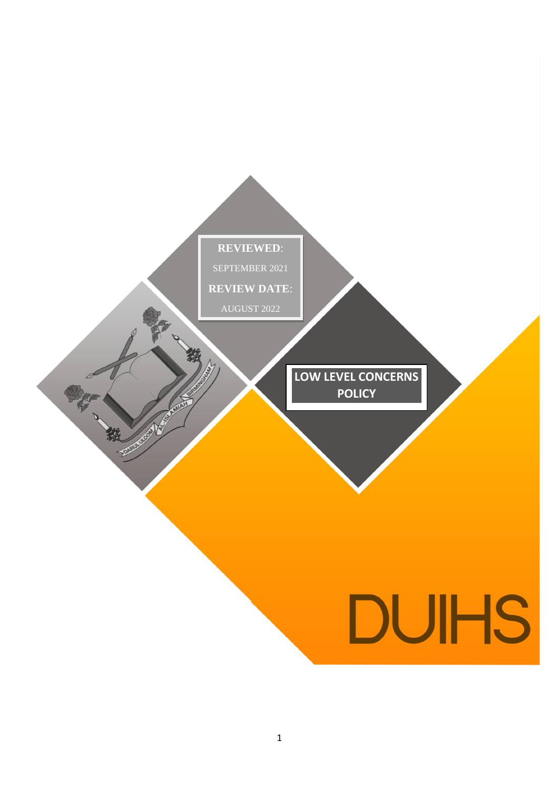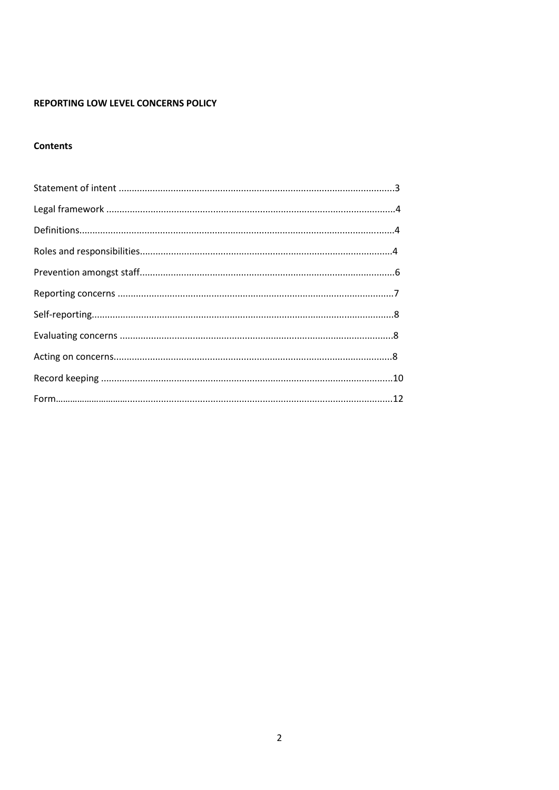# REPORTING LOW LEVEL CONCERNS POLICY

# **Contents**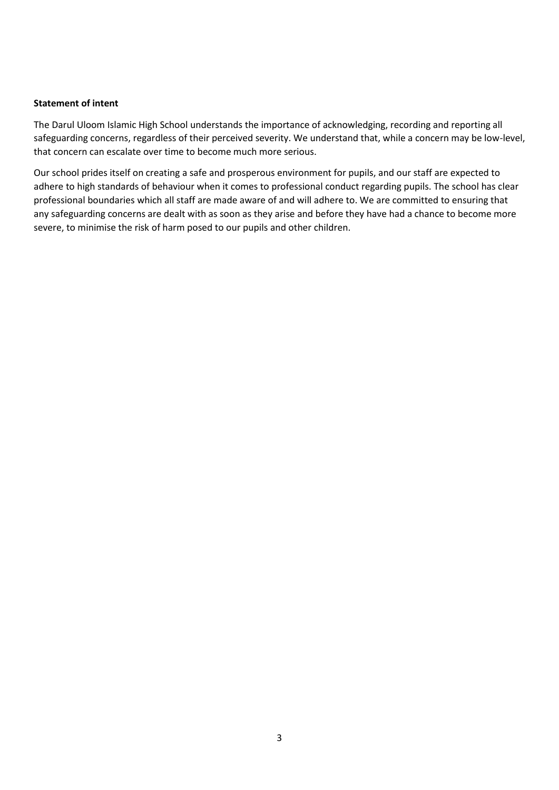#### **Statement of intent**

The Darul Uloom Islamic High School understands the importance of acknowledging, recording and reporting all safeguarding concerns, regardless of their perceived severity. We understand that, while a concern may be low-level, that concern can escalate over time to become much more serious.

Our school prides itself on creating a safe and prosperous environment for pupils, and our staff are expected to adhere to high standards of behaviour when it comes to professional conduct regarding pupils. The school has clear professional boundaries which all staff are made aware of and will adhere to. We are committed to ensuring that any safeguarding concerns are dealt with as soon as they arise and before they have had a chance to become more severe, to minimise the risk of harm posed to our pupils and other children.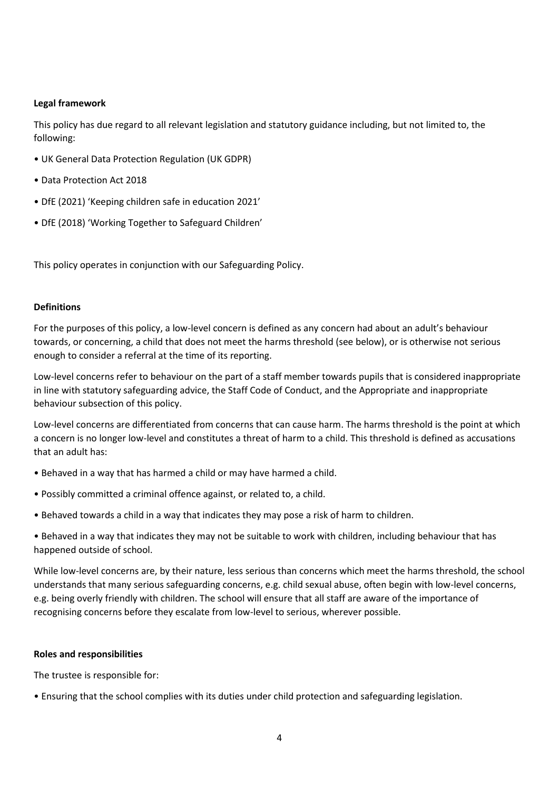## **Legal framework**

This policy has due regard to all relevant legislation and statutory guidance including, but not limited to, the following:

- UK General Data Protection Regulation (UK GDPR)
- Data Protection Act 2018
- DfE (2021) 'Keeping children safe in education 2021'
- DfE (2018) 'Working Together to Safeguard Children'

This policy operates in conjunction with our Safeguarding Policy.

## **Definitions**

For the purposes of this policy, a low-level concern is defined as any concern had about an adult's behaviour towards, or concerning, a child that does not meet the harms threshold (see below), or is otherwise not serious enough to consider a referral at the time of its reporting.

Low-level concerns refer to behaviour on the part of a staff member towards pupils that is considered inappropriate in line with statutory safeguarding advice, the Staff Code of Conduct, and the Appropriate and inappropriate behaviour subsection of this policy.

Low-level concerns are differentiated from concerns that can cause harm. The harms threshold is the point at which a concern is no longer low-level and constitutes a threat of harm to a child. This threshold is defined as accusations that an adult has:

- Behaved in a way that has harmed a child or may have harmed a child.
- Possibly committed a criminal offence against, or related to, a child.
- Behaved towards a child in a way that indicates they may pose a risk of harm to children.

• Behaved in a way that indicates they may not be suitable to work with children, including behaviour that has happened outside of school.

While low-level concerns are, by their nature, less serious than concerns which meet the harms threshold, the school understands that many serious safeguarding concerns, e.g. child sexual abuse, often begin with low-level concerns, e.g. being overly friendly with children. The school will ensure that all staff are aware of the importance of recognising concerns before they escalate from low-level to serious, wherever possible.

## **Roles and responsibilities**

The trustee is responsible for:

• Ensuring that the school complies with its duties under child protection and safeguarding legislation.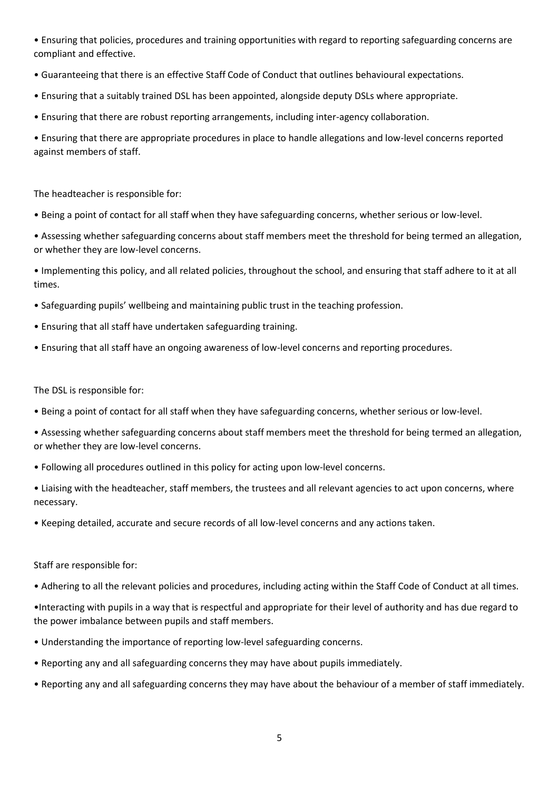• Ensuring that policies, procedures and training opportunities with regard to reporting safeguarding concerns are compliant and effective.

- Guaranteeing that there is an effective Staff Code of Conduct that outlines behavioural expectations.
- Ensuring that a suitably trained DSL has been appointed, alongside deputy DSLs where appropriate.
- Ensuring that there are robust reporting arrangements, including inter-agency collaboration.

• Ensuring that there are appropriate procedures in place to handle allegations and low-level concerns reported against members of staff.

The headteacher is responsible for:

• Being a point of contact for all staff when they have safeguarding concerns, whether serious or low-level.

• Assessing whether safeguarding concerns about staff members meet the threshold for being termed an allegation, or whether they are low-level concerns.

• Implementing this policy, and all related policies, throughout the school, and ensuring that staff adhere to it at all times.

- Safeguarding pupils' wellbeing and maintaining public trust in the teaching profession.
- Ensuring that all staff have undertaken safeguarding training.
- Ensuring that all staff have an ongoing awareness of low-level concerns and reporting procedures.

The DSL is responsible for:

- Being a point of contact for all staff when they have safeguarding concerns, whether serious or low-level.
- Assessing whether safeguarding concerns about staff members meet the threshold for being termed an allegation, or whether they are low-level concerns.
- Following all procedures outlined in this policy for acting upon low-level concerns.

• Liaising with the headteacher, staff members, the trustees and all relevant agencies to act upon concerns, where necessary.

• Keeping detailed, accurate and secure records of all low-level concerns and any actions taken.

Staff are responsible for:

• Adhering to all the relevant policies and procedures, including acting within the Staff Code of Conduct at all times.

•Interacting with pupils in a way that is respectful and appropriate for their level of authority and has due regard to the power imbalance between pupils and staff members.

- Understanding the importance of reporting low-level safeguarding concerns.
- Reporting any and all safeguarding concerns they may have about pupils immediately.
- Reporting any and all safeguarding concerns they may have about the behaviour of a member of staff immediately.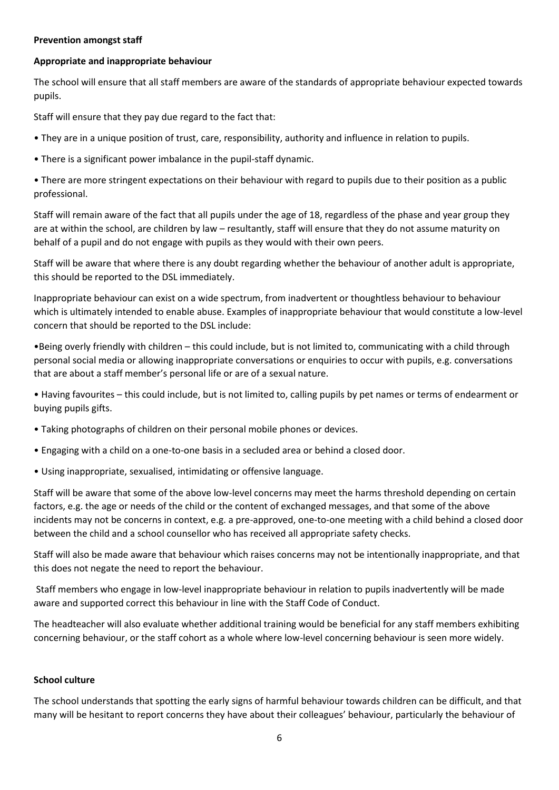## **Prevention amongst staff**

#### **Appropriate and inappropriate behaviour**

The school will ensure that all staff members are aware of the standards of appropriate behaviour expected towards pupils.

Staff will ensure that they pay due regard to the fact that:

- They are in a unique position of trust, care, responsibility, authority and influence in relation to pupils.
- There is a significant power imbalance in the pupil-staff dynamic.
- There are more stringent expectations on their behaviour with regard to pupils due to their position as a public professional.

Staff will remain aware of the fact that all pupils under the age of 18, regardless of the phase and year group they are at within the school, are children by law – resultantly, staff will ensure that they do not assume maturity on behalf of a pupil and do not engage with pupils as they would with their own peers.

Staff will be aware that where there is any doubt regarding whether the behaviour of another adult is appropriate, this should be reported to the DSL immediately.

Inappropriate behaviour can exist on a wide spectrum, from inadvertent or thoughtless behaviour to behaviour which is ultimately intended to enable abuse. Examples of inappropriate behaviour that would constitute a low-level concern that should be reported to the DSL include:

•Being overly friendly with children – this could include, but is not limited to, communicating with a child through personal social media or allowing inappropriate conversations or enquiries to occur with pupils, e.g. conversations that are about a staff member's personal life or are of a sexual nature.

• Having favourites – this could include, but is not limited to, calling pupils by pet names or terms of endearment or buying pupils gifts.

- Taking photographs of children on their personal mobile phones or devices.
- Engaging with a child on a one-to-one basis in a secluded area or behind a closed door.
- Using inappropriate, sexualised, intimidating or offensive language.

Staff will be aware that some of the above low-level concerns may meet the harms threshold depending on certain factors, e.g. the age or needs of the child or the content of exchanged messages, and that some of the above incidents may not be concerns in context, e.g. a pre-approved, one-to-one meeting with a child behind a closed door between the child and a school counsellor who has received all appropriate safety checks.

Staff will also be made aware that behaviour which raises concerns may not be intentionally inappropriate, and that this does not negate the need to report the behaviour.

Staff members who engage in low-level inappropriate behaviour in relation to pupils inadvertently will be made aware and supported correct this behaviour in line with the Staff Code of Conduct.

The headteacher will also evaluate whether additional training would be beneficial for any staff members exhibiting concerning behaviour, or the staff cohort as a whole where low-level concerning behaviour is seen more widely.

#### **School culture**

The school understands that spotting the early signs of harmful behaviour towards children can be difficult, and that many will be hesitant to report concerns they have about their colleagues' behaviour, particularly the behaviour of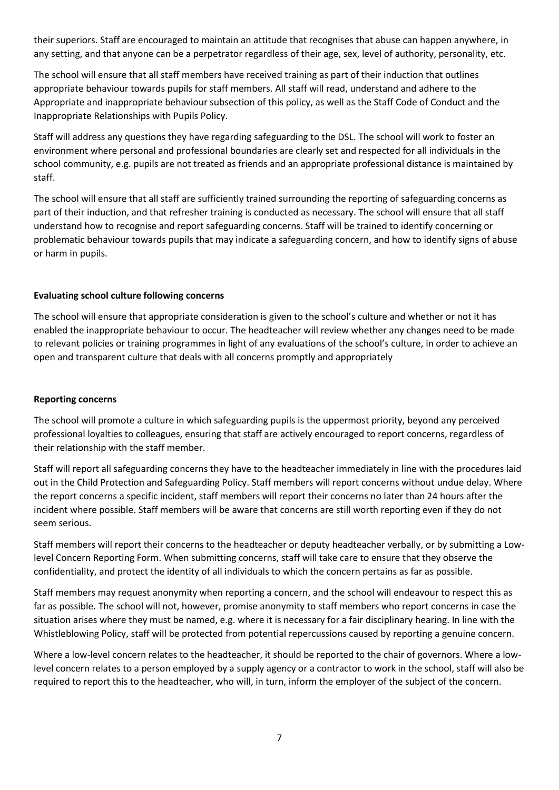their superiors. Staff are encouraged to maintain an attitude that recognises that abuse can happen anywhere, in any setting, and that anyone can be a perpetrator regardless of their age, sex, level of authority, personality, etc.

The school will ensure that all staff members have received training as part of their induction that outlines appropriate behaviour towards pupils for staff members. All staff will read, understand and adhere to the Appropriate and inappropriate behaviour subsection of this policy, as well as the Staff Code of Conduct and the Inappropriate Relationships with Pupils Policy.

Staff will address any questions they have regarding safeguarding to the DSL. The school will work to foster an environment where personal and professional boundaries are clearly set and respected for all individuals in the school community, e.g. pupils are not treated as friends and an appropriate professional distance is maintained by staff.

The school will ensure that all staff are sufficiently trained surrounding the reporting of safeguarding concerns as part of their induction, and that refresher training is conducted as necessary. The school will ensure that all staff understand how to recognise and report safeguarding concerns. Staff will be trained to identify concerning or problematic behaviour towards pupils that may indicate a safeguarding concern, and how to identify signs of abuse or harm in pupils.

# **Evaluating school culture following concerns**

The school will ensure that appropriate consideration is given to the school's culture and whether or not it has enabled the inappropriate behaviour to occur. The headteacher will review whether any changes need to be made to relevant policies or training programmes in light of any evaluations of the school's culture, in order to achieve an open and transparent culture that deals with all concerns promptly and appropriately

## **Reporting concerns**

The school will promote a culture in which safeguarding pupils is the uppermost priority, beyond any perceived professional loyalties to colleagues, ensuring that staff are actively encouraged to report concerns, regardless of their relationship with the staff member.

Staff will report all safeguarding concerns they have to the headteacher immediately in line with the procedures laid out in the Child Protection and Safeguarding Policy. Staff members will report concerns without undue delay. Where the report concerns a specific incident, staff members will report their concerns no later than 24 hours after the incident where possible. Staff members will be aware that concerns are still worth reporting even if they do not seem serious.

Staff members will report their concerns to the headteacher or deputy headteacher verbally, or by submitting a Lowlevel Concern Reporting Form. When submitting concerns, staff will take care to ensure that they observe the confidentiality, and protect the identity of all individuals to which the concern pertains as far as possible.

Staff members may request anonymity when reporting a concern, and the school will endeavour to respect this as far as possible. The school will not, however, promise anonymity to staff members who report concerns in case the situation arises where they must be named, e.g. where it is necessary for a fair disciplinary hearing. In line with the Whistleblowing Policy, staff will be protected from potential repercussions caused by reporting a genuine concern.

Where a low-level concern relates to the headteacher, it should be reported to the chair of governors. Where a lowlevel concern relates to a person employed by a supply agency or a contractor to work in the school, staff will also be required to report this to the headteacher, who will, in turn, inform the employer of the subject of the concern.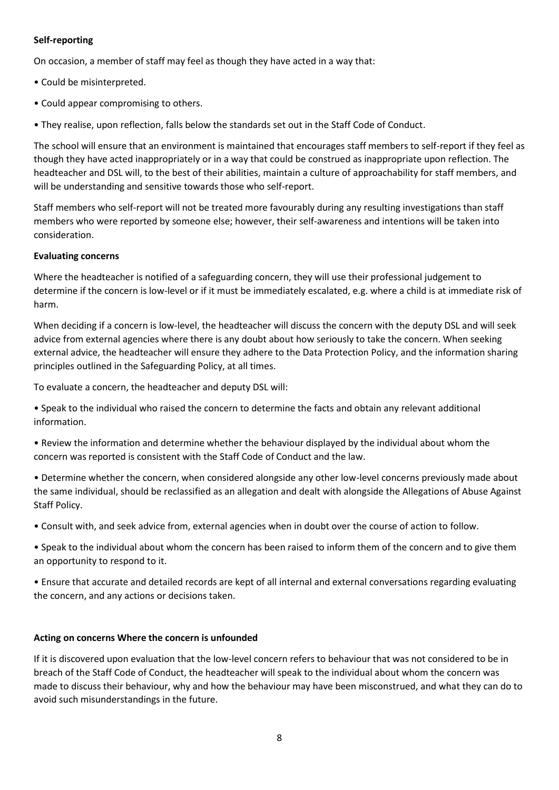# **Self-reporting**

On occasion, a member of staff may feel as though they have acted in a way that:

- Could be misinterpreted.
- Could appear compromising to others.
- They realise, upon reflection, falls below the standards set out in the Staff Code of Conduct.

The school will ensure that an environment is maintained that encourages staff members to self-report if they feel as though they have acted inappropriately or in a way that could be construed as inappropriate upon reflection. The headteacher and DSL will, to the best of their abilities, maintain a culture of approachability for staff members, and will be understanding and sensitive towards those who self-report.

Staff members who self-report will not be treated more favourably during any resulting investigations than staff members who were reported by someone else; however, their self-awareness and intentions will be taken into consideration.

## **Evaluating concerns**

Where the headteacher is notified of a safeguarding concern, they will use their professional judgement to determine if the concern is low-level or if it must be immediately escalated, e.g. where a child is at immediate risk of harm.

When deciding if a concern is low-level, the headteacher will discuss the concern with the deputy DSL and will seek advice from external agencies where there is any doubt about how seriously to take the concern. When seeking external advice, the headteacher will ensure they adhere to the Data Protection Policy, and the information sharing principles outlined in the Safeguarding Policy, at all times.

To evaluate a concern, the headteacher and deputy DSL will:

• Speak to the individual who raised the concern to determine the facts and obtain any relevant additional information.

• Review the information and determine whether the behaviour displayed by the individual about whom the concern was reported is consistent with the Staff Code of Conduct and the law.

• Determine whether the concern, when considered alongside any other low-level concerns previously made about the same individual, should be reclassified as an allegation and dealt with alongside the Allegations of Abuse Against Staff Policy.

• Consult with, and seek advice from, external agencies when in doubt over the course of action to follow.

• Speak to the individual about whom the concern has been raised to inform them of the concern and to give them an opportunity to respond to it.

• Ensure that accurate and detailed records are kept of all internal and external conversations regarding evaluating the concern, and any actions or decisions taken.

## **Acting on concerns Where the concern is unfounded**

If it is discovered upon evaluation that the low-level concern refers to behaviour that was not considered to be in breach of the Staff Code of Conduct, the headteacher will speak to the individual about whom the concern was made to discuss their behaviour, why and how the behaviour may have been misconstrued, and what they can do to avoid such misunderstandings in the future.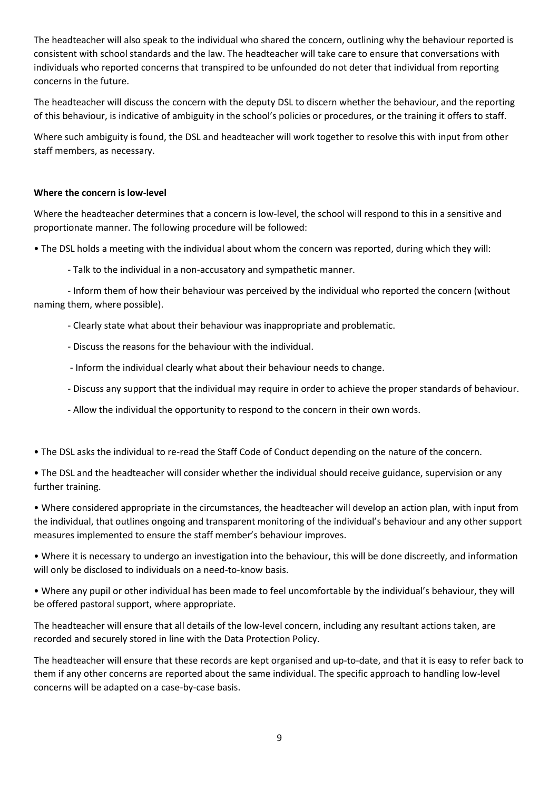The headteacher will also speak to the individual who shared the concern, outlining why the behaviour reported is consistent with school standards and the law. The headteacher will take care to ensure that conversations with individuals who reported concerns that transpired to be unfounded do not deter that individual from reporting concerns in the future.

The headteacher will discuss the concern with the deputy DSL to discern whether the behaviour, and the reporting of this behaviour, is indicative of ambiguity in the school's policies or procedures, or the training it offers to staff.

Where such ambiguity is found, the DSL and headteacher will work together to resolve this with input from other staff members, as necessary.

# **Where the concern is low-level**

Where the headteacher determines that a concern is low-level, the school will respond to this in a sensitive and proportionate manner. The following procedure will be followed:

• The DSL holds a meeting with the individual about whom the concern was reported, during which they will:

- Talk to the individual in a non-accusatory and sympathetic manner.

- Inform them of how their behaviour was perceived by the individual who reported the concern (without naming them, where possible).

- Clearly state what about their behaviour was inappropriate and problematic.

- Discuss the reasons for the behaviour with the individual.
- Inform the individual clearly what about their behaviour needs to change.
- Discuss any support that the individual may require in order to achieve the proper standards of behaviour.
- Allow the individual the opportunity to respond to the concern in their own words.

• The DSL asks the individual to re-read the Staff Code of Conduct depending on the nature of the concern.

• The DSL and the headteacher will consider whether the individual should receive guidance, supervision or any further training.

• Where considered appropriate in the circumstances, the headteacher will develop an action plan, with input from the individual, that outlines ongoing and transparent monitoring of the individual's behaviour and any other support measures implemented to ensure the staff member's behaviour improves.

• Where it is necessary to undergo an investigation into the behaviour, this will be done discreetly, and information will only be disclosed to individuals on a need-to-know basis.

• Where any pupil or other individual has been made to feel uncomfortable by the individual's behaviour, they will be offered pastoral support, where appropriate.

The headteacher will ensure that all details of the low-level concern, including any resultant actions taken, are recorded and securely stored in line with the Data Protection Policy.

The headteacher will ensure that these records are kept organised and up-to-date, and that it is easy to refer back to them if any other concerns are reported about the same individual. The specific approach to handling low-level concerns will be adapted on a case-by-case basis.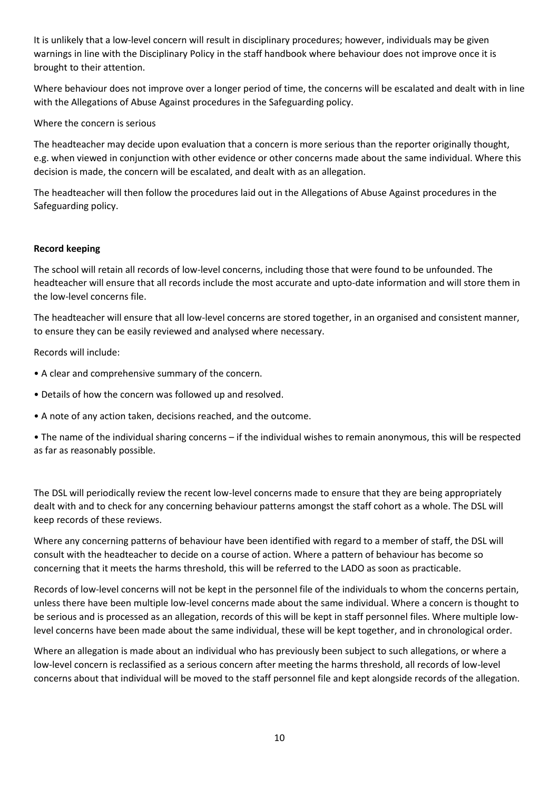It is unlikely that a low-level concern will result in disciplinary procedures; however, individuals may be given warnings in line with the Disciplinary Policy in the staff handbook where behaviour does not improve once it is brought to their attention.

Where behaviour does not improve over a longer period of time, the concerns will be escalated and dealt with in line with the Allegations of Abuse Against procedures in the Safeguarding policy.

Where the concern is serious

The headteacher may decide upon evaluation that a concern is more serious than the reporter originally thought, e.g. when viewed in conjunction with other evidence or other concerns made about the same individual. Where this decision is made, the concern will be escalated, and dealt with as an allegation.

The headteacher will then follow the procedures laid out in the Allegations of Abuse Against procedures in the Safeguarding policy.

## **Record keeping**

The school will retain all records of low-level concerns, including those that were found to be unfounded. The headteacher will ensure that all records include the most accurate and upto-date information and will store them in the low-level concerns file.

The headteacher will ensure that all low-level concerns are stored together, in an organised and consistent manner, to ensure they can be easily reviewed and analysed where necessary.

Records will include:

- A clear and comprehensive summary of the concern.
- Details of how the concern was followed up and resolved.
- A note of any action taken, decisions reached, and the outcome.

• The name of the individual sharing concerns – if the individual wishes to remain anonymous, this will be respected as far as reasonably possible.

The DSL will periodically review the recent low-level concerns made to ensure that they are being appropriately dealt with and to check for any concerning behaviour patterns amongst the staff cohort as a whole. The DSL will keep records of these reviews.

Where any concerning patterns of behaviour have been identified with regard to a member of staff, the DSL will consult with the headteacher to decide on a course of action. Where a pattern of behaviour has become so concerning that it meets the harms threshold, this will be referred to the LADO as soon as practicable.

Records of low-level concerns will not be kept in the personnel file of the individuals to whom the concerns pertain, unless there have been multiple low-level concerns made about the same individual. Where a concern is thought to be serious and is processed as an allegation, records of this will be kept in staff personnel files. Where multiple lowlevel concerns have been made about the same individual, these will be kept together, and in chronological order.

Where an allegation is made about an individual who has previously been subject to such allegations, or where a low-level concern is reclassified as a serious concern after meeting the harms threshold, all records of low-level concerns about that individual will be moved to the staff personnel file and kept alongside records of the allegation.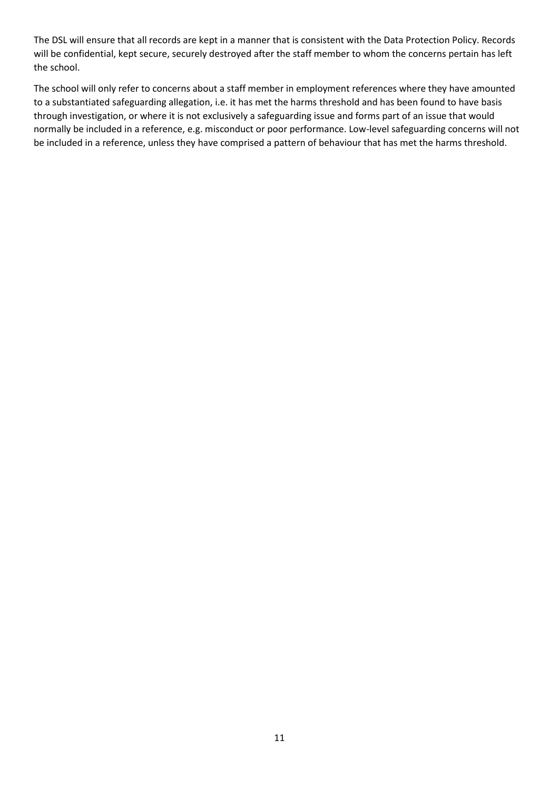The DSL will ensure that all records are kept in a manner that is consistent with the Data Protection Policy. Records will be confidential, kept secure, securely destroyed after the staff member to whom the concerns pertain has left the school.

The school will only refer to concerns about a staff member in employment references where they have amounted to a substantiated safeguarding allegation, i.e. it has met the harms threshold and has been found to have basis through investigation, or where it is not exclusively a safeguarding issue and forms part of an issue that would normally be included in a reference, e.g. misconduct or poor performance. Low-level safeguarding concerns will not be included in a reference, unless they have comprised a pattern of behaviour that has met the harms threshold.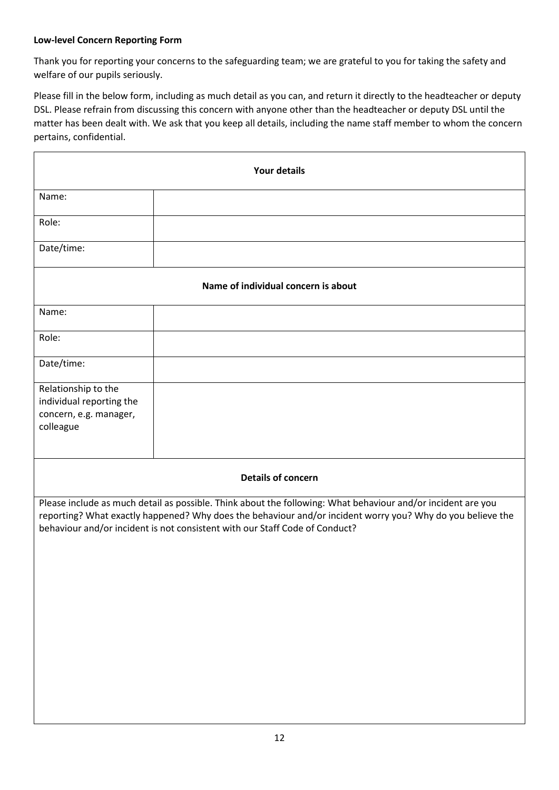# **Low-level Concern Reporting Form**

Thank you for reporting your concerns to the safeguarding team; we are grateful to you for taking the safety and welfare of our pupils seriously.

Please fill in the below form, including as much detail as you can, and return it directly to the headteacher or deputy DSL. Please refrain from discussing this concern with anyone other than the headteacher or deputy DSL until the matter has been dealt with. We ask that you keep all details, including the name staff member to whom the concern pertains, confidential.

| <b>Your details</b>                                                                                                                                                                                                                                                                                       |  |  |  |  |
|-----------------------------------------------------------------------------------------------------------------------------------------------------------------------------------------------------------------------------------------------------------------------------------------------------------|--|--|--|--|
| Name:                                                                                                                                                                                                                                                                                                     |  |  |  |  |
| Role:                                                                                                                                                                                                                                                                                                     |  |  |  |  |
| Date/time:                                                                                                                                                                                                                                                                                                |  |  |  |  |
| Name of individual concern is about                                                                                                                                                                                                                                                                       |  |  |  |  |
| Name:                                                                                                                                                                                                                                                                                                     |  |  |  |  |
| Role:                                                                                                                                                                                                                                                                                                     |  |  |  |  |
| Date/time:                                                                                                                                                                                                                                                                                                |  |  |  |  |
| Relationship to the<br>individual reporting the<br>concern, e.g. manager,<br>colleague                                                                                                                                                                                                                    |  |  |  |  |
| <b>Details of concern</b>                                                                                                                                                                                                                                                                                 |  |  |  |  |
| Please include as much detail as possible. Think about the following: What behaviour and/or incident are you<br>reporting? What exactly happened? Why does the behaviour and/or incident worry you? Why do you believe the<br>behaviour and/or incident is not consistent with our Staff Code of Conduct? |  |  |  |  |
|                                                                                                                                                                                                                                                                                                           |  |  |  |  |